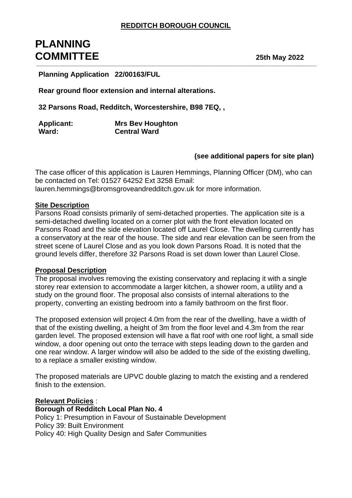# **PLANNING COMMITTEE 25th May 2022** \_\_\_\_\_\_\_\_\_\_\_\_\_\_\_\_\_\_\_\_\_\_\_\_\_\_\_\_\_\_\_\_\_\_\_\_\_\_\_\_\_\_\_\_\_\_\_\_\_\_\_\_\_\_\_\_\_\_\_\_\_\_\_\_\_\_\_\_\_\_\_\_\_\_\_\_\_\_\_\_\_\_\_\_\_\_\_\_\_\_\_\_\_\_\_\_\_\_\_\_\_\_\_\_\_\_\_\_\_\_\_\_\_\_\_\_\_\_\_\_\_\_\_\_\_\_\_\_\_\_\_\_\_\_\_\_\_\_\_\_\_\_

**Planning Application 22/00163/FUL**

**Rear ground floor extension and internal alterations.**

**32 Parsons Road, Redditch, Worcestershire, B98 7EQ, ,** 

| <b>Applicant:</b> | <b>Mrs Bev Houghton</b> |
|-------------------|-------------------------|
| Ward:             | <b>Central Ward</b>     |

## **(see additional papers for site plan)**

The case officer of this application is Lauren Hemmings, Planning Officer (DM), who can be contacted on Tel: 01527 64252 Ext 3258 Email: lauren.hemmings@bromsgroveandredditch.gov.uk for more information.

#### **Site Description**

Parsons Road consists primarily of semi-detached properties. The application site is a semi-detached dwelling located on a corner plot with the front elevation located on Parsons Road and the side elevation located off Laurel Close. The dwelling currently has a conservatory at the rear of the house. The side and rear elevation can be seen from the street scene of Laurel Close and as you look down Parsons Road. It is noted that the ground levels differ, therefore 32 Parsons Road is set down lower than Laurel Close.

#### **Proposal Description**

The proposal involves removing the existing conservatory and replacing it with a single storey rear extension to accommodate a larger kitchen, a shower room, a utility and a study on the ground floor. The proposal also consists of internal alterations to the property, converting an existing bedroom into a family bathroom on the first floor.

The proposed extension will project 4.0m from the rear of the dwelling, have a width of that of the existing dwelling, a height of 3m from the floor level and 4.3m from the rear garden level. The proposed extension will have a flat roof with one roof light, a small side window, a door opening out onto the terrace with steps leading down to the garden and one rear window. A larger window will also be added to the side of the existing dwelling, to a replace a smaller existing window.

The proposed materials are UPVC double glazing to match the existing and a rendered finish to the extension.

#### **Relevant Policies** :

**Borough of Redditch Local Plan No. 4** Policy 1: Presumption in Favour of Sustainable Development Policy 39: Built Environment Policy 40: High Quality Design and Safer Communities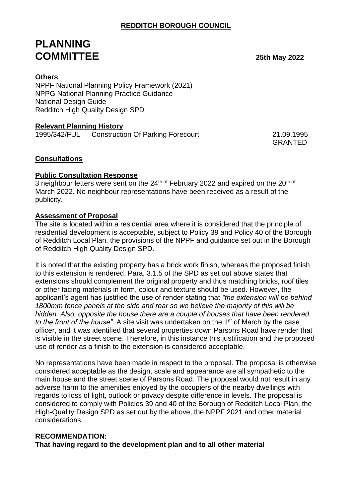\_\_\_\_\_\_\_\_\_\_\_\_\_\_\_\_\_\_\_\_\_\_\_\_\_\_\_\_\_\_\_\_\_\_\_\_\_\_\_\_\_\_\_\_\_\_\_\_\_\_\_\_\_\_\_\_\_\_\_\_\_\_\_\_\_\_\_\_\_\_\_\_\_\_\_\_\_\_\_\_\_\_\_\_\_\_\_\_\_\_\_\_\_\_\_\_\_\_\_\_\_\_\_\_\_\_\_\_\_\_\_\_\_\_\_\_\_\_\_\_\_\_\_\_\_\_\_\_\_\_\_\_\_\_\_\_\_\_\_\_\_\_

# **PLANNING COMMITTEE 25th May 2022**

# **Others**

NPPF National Planning Policy Framework (2021) NPPG National Planning Practice Guidance National Design Guide Redditch High Quality Design SPD

# **Relevant Planning History**

1995/342/FUL Construction Of Parking Forecourt 21.09.1995

GRANTED

# **Consultations**

#### **Public Consultation Response**

3 neighbour letters were sent on the  $24<sup>th of</sup>$  February 2022 and expired on the  $20<sup>th of</sup>$ March 2022. No neighbour representations have been received as a result of the publicity.

#### **Assessment of Proposal**

The site is located within a residential area where it is considered that the principle of residential development is acceptable, subject to Policy 39 and Policy 40 of the Borough of Redditch Local Plan, the provisions of the NPPF and guidance set out in the Borough of Redditch High Quality Design SPD.

It is noted that the existing property has a brick work finish, whereas the proposed finish to this extension is rendered. Para. 3.1.5 of the SPD as set out above states that extensions should complement the original property and thus matching bricks, roof tiles or other facing materials in form, colour and texture should be used. However, the applicant's agent has justified the use of render stating that *"the extension will be behind 1800mm fence panels at the side and rear so we believe the majority of this will be hidden. Also, opposite the house there are a couple of houses that have been rendered to the front of the house".* A site visit was undertaken on the 1st of March by the case officer, and it was identified that several properties down Parsons Road have render that is visible in the street scene. Therefore, in this instance this justification and the proposed use of render as a finish to the extension is considered acceptable.

No representations have been made in respect to the proposal. The proposal is otherwise considered acceptable as the design, scale and appearance are all sympathetic to the main house and the street scene of Parsons Road. The proposal would not result in any adverse harm to the amenities enjoyed by the occupiers of the nearby dwellings with regards to loss of light, outlook or privacy despite difference in levels. The proposal is considered to comply with Policies 39 and 40 of the Borough of Redditch Local Plan, the High-Quality Design SPD as set out by the above, the NPPF 2021 and other material considerations.

## **RECOMMENDATION:**

**That having regard to the development plan and to all other material**